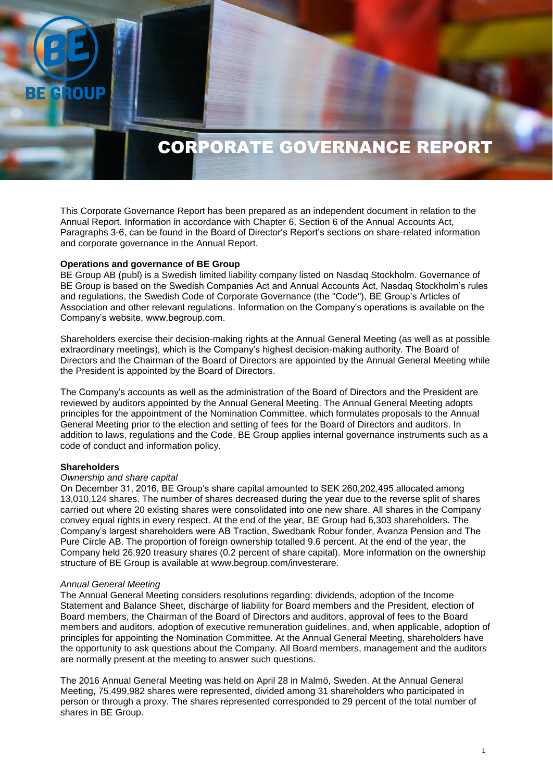# CORPORATE GOVERNANCE REPORT

This Corporate Governance Report has been prepared as an independent document in relation to the Annual Report. Information in accordance with Chapter 6, Section 6 of the Annual Accounts Act, Paragraphs 3-6, can be found in the Board of Director's Report's sections on share-related information and corporate governance in the Annual Report.

#### **Operations and governance of BE Group**

BE Group AB (publ) is a Swedish limited liability company listed on Nasdaq Stockholm. Governance of BE Group is based on the Swedish Companies Act and Annual Accounts Act, Nasdaq Stockholm's rules and regulations, the Swedish Code of Corporate Governance (the "Code"), BE Group's Articles of Association and other relevant regulations. Information on the Company's operations is available on the Company's website, www.begroup.com.

Shareholders exercise their decision-making rights at the Annual General Meeting (as well as at possible extraordinary meetings), which is the Company's highest decision-making authority. The Board of Directors and the Chairman of the Board of Directors are appointed by the Annual General Meeting while the President is appointed by the Board of Directors.

The Company's accounts as well as the administration of the Board of Directors and the President are reviewed by auditors appointed by the Annual General Meeting. The Annual General Meeting adopts principles for the appointment of the Nomination Committee, which formulates proposals to the Annual General Meeting prior to the election and setting of fees for the Board of Directors and auditors. In addition to laws, regulations and the Code, BE Group applies internal governance instruments such as a code of conduct and information policy.

#### **Shareholders**

**ROUP** 

#### *Ownership and share capital*

On December 31, 2016, BE Group's share capital amounted to SEK 260,202,495 allocated among 13,010,124 shares. The number of shares decreased during the year due to the reverse split of shares carried out where 20 existing shares were consolidated into one new share. All shares in the Company convey equal rights in every respect. At the end of the year, BE Group had 6,303 shareholders. The Company's largest shareholders were AB Traction, Swedbank Robur fonder, Avanza Pension and The Pure Circle AB. The proportion of foreign ownership totalled 9.6 percent. At the end of the year, the Company held 26,920 treasury shares (0.2 percent of share capital). More information on the ownership structure of BE Group is available at www.begroup.com/investerare.

#### *Annual General Meeting*

The Annual General Meeting considers resolutions regarding: dividends, adoption of the Income Statement and Balance Sheet, discharge of liability for Board members and the President, election of Board members, the Chairman of the Board of Directors and auditors, approval of fees to the Board members and auditors, adoption of executive remuneration guidelines, and, when applicable, adoption of principles for appointing the Nomination Committee. At the Annual General Meeting, shareholders have the opportunity to ask questions about the Company. All Board members, management and the auditors are normally present at the meeting to answer such questions.

The 2016 Annual General Meeting was held on April 28 in Malmö, Sweden. At the Annual General Meeting, 75,499,982 shares were represented, divided among 31 shareholders who participated in person or through a proxy. The shares represented corresponded to 29 percent of the total number of shares in BE Group.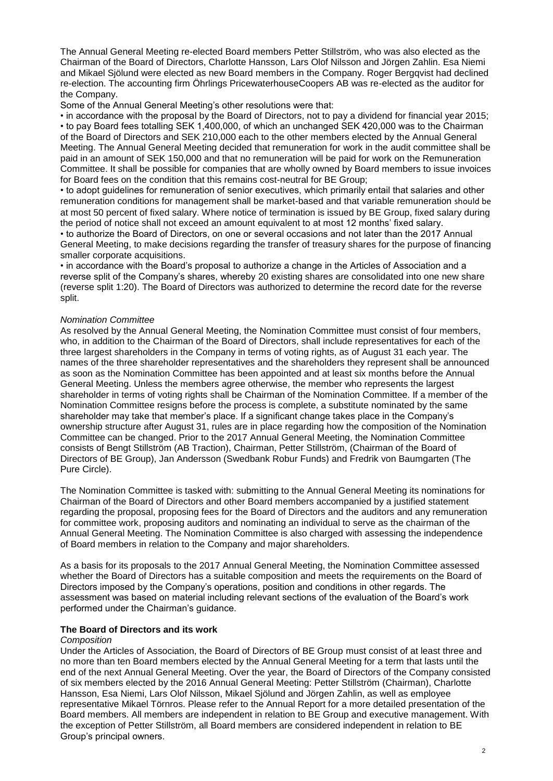The Annual General Meeting re-elected Board members Petter Stillström, who was also elected as the Chairman of the Board of Directors, Charlotte Hansson, Lars Olof Nilsson and Jörgen Zahlin. Esa Niemi and Mikael Sjölund were elected as new Board members in the Company. Roger Bergqvist had declined re-election. The accounting firm Öhrlings PricewaterhouseCoopers AB was re-elected as the auditor for the Company.

Some of the Annual General Meeting's other resolutions were that:

• in accordance with the proposal by the Board of Directors, not to pay a dividend for financial year 2015; • to pay Board fees totalling SEK 1,400,000, of which an unchanged SEK 420,000 was to the Chairman of the Board of Directors and SEK 210,000 each to the other members elected by the Annual General Meeting. The Annual General Meeting decided that remuneration for work in the audit committee shall be paid in an amount of SEK 150,000 and that no remuneration will be paid for work on the Remuneration Committee. It shall be possible for companies that are wholly owned by Board members to issue invoices for Board fees on the condition that this remains cost-neutral for BE Group;

• to adopt guidelines for remuneration of senior executives, which primarily entail that salaries and other remuneration conditions for management shall be market-based and that variable remuneration should be at most 50 percent of fixed salary. Where notice of termination is issued by BE Group, fixed salary during the period of notice shall not exceed an amount equivalent to at most 12 months' fixed salary.

• to authorize the Board of Directors, on one or several occasions and not later than the 2017 Annual General Meeting, to make decisions regarding the transfer of treasury shares for the purpose of financing smaller corporate acquisitions.

• in accordance with the Board's proposal to authorize a change in the Articles of Association and a reverse split of the Company's shares, whereby 20 existing shares are consolidated into one new share (reverse split 1:20). The Board of Directors was authorized to determine the record date for the reverse split.

# *Nomination Committee*

As resolved by the Annual General Meeting, the Nomination Committee must consist of four members, who, in addition to the Chairman of the Board of Directors, shall include representatives for each of the three largest shareholders in the Company in terms of voting rights, as of August 31 each year. The names of the three shareholder representatives and the shareholders they represent shall be announced as soon as the Nomination Committee has been appointed and at least six months before the Annual General Meeting. Unless the members agree otherwise, the member who represents the largest shareholder in terms of voting rights shall be Chairman of the Nomination Committee. If a member of the Nomination Committee resigns before the process is complete, a substitute nominated by the same shareholder may take that member's place. If a significant change takes place in the Company's ownership structure after August 31, rules are in place regarding how the composition of the Nomination Committee can be changed. Prior to the 2017 Annual General Meeting, the Nomination Committee consists of Bengt Stillström (AB Traction), Chairman, Petter Stillström, (Chairman of the Board of Directors of BE Group), Jan Andersson (Swedbank Robur Funds) and Fredrik von Baumgarten (The Pure Circle).

The Nomination Committee is tasked with: submitting to the Annual General Meeting its nominations for Chairman of the Board of Directors and other Board members accompanied by a justified statement regarding the proposal, proposing fees for the Board of Directors and the auditors and any remuneration for committee work, proposing auditors and nominating an individual to serve as the chairman of the Annual General Meeting. The Nomination Committee is also charged with assessing the independence of Board members in relation to the Company and major shareholders.

As a basis for its proposals to the 2017 Annual General Meeting, the Nomination Committee assessed whether the Board of Directors has a suitable composition and meets the requirements on the Board of Directors imposed by the Company's operations, position and conditions in other regards. The assessment was based on material including relevant sections of the evaluation of the Board's work performed under the Chairman's guidance.

## **The Board of Directors and its work**

## *Composition*

Under the Articles of Association, the Board of Directors of BE Group must consist of at least three and no more than ten Board members elected by the Annual General Meeting for a term that lasts until the end of the next Annual General Meeting. Over the year, the Board of Directors of the Company consisted of six members elected by the 2016 Annual General Meeting: Petter Stillström (Chairman), Charlotte Hansson, Esa Niemi, Lars Olof Nilsson, Mikael Sjölund and Jörgen Zahlin, as well as employee representative Mikael Törnros. Please refer to the Annual Report for a more detailed presentation of the Board members. All members are independent in relation to BE Group and executive management. With the exception of Petter Stillström, all Board members are considered independent in relation to BE Group's principal owners.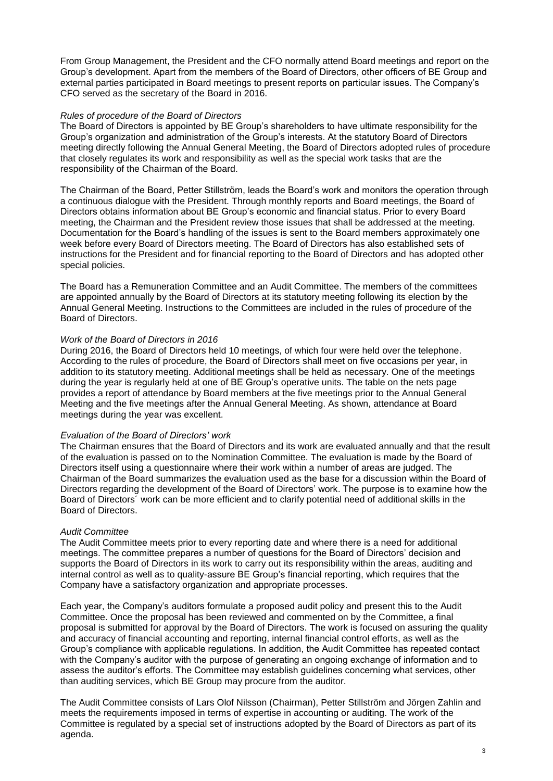From Group Management, the President and the CFO normally attend Board meetings and report on the Group's development. Apart from the members of the Board of Directors, other officers of BE Group and external parties participated in Board meetings to present reports on particular issues. The Company's CFO served as the secretary of the Board in 2016.

## *Rules of procedure of the Board of Directors*

The Board of Directors is appointed by BE Group's shareholders to have ultimate responsibility for the Group's organization and administration of the Group's interests. At the statutory Board of Directors meeting directly following the Annual General Meeting, the Board of Directors adopted rules of procedure that closely regulates its work and responsibility as well as the special work tasks that are the responsibility of the Chairman of the Board.

The Chairman of the Board, Petter Stillström, leads the Board's work and monitors the operation through a continuous dialogue with the President. Through monthly reports and Board meetings, the Board of Directors obtains information about BE Group's economic and financial status. Prior to every Board meeting, the Chairman and the President review those issues that shall be addressed at the meeting. Documentation for the Board's handling of the issues is sent to the Board members approximately one week before every Board of Directors meeting. The Board of Directors has also established sets of instructions for the President and for financial reporting to the Board of Directors and has adopted other special policies.

The Board has a Remuneration Committee and an Audit Committee. The members of the committees are appointed annually by the Board of Directors at its statutory meeting following its election by the Annual General Meeting. Instructions to the Committees are included in the rules of procedure of the Board of Directors.

# *Work of the Board of Directors in 2016*

During 2016, the Board of Directors held 10 meetings, of which four were held over the telephone. According to the rules of procedure, the Board of Directors shall meet on five occasions per year, in addition to its statutory meeting. Additional meetings shall be held as necessary. One of the meetings during the year is regularly held at one of BE Group's operative units. The table on the nets page provides a report of attendance by Board members at the five meetings prior to the Annual General Meeting and the five meetings after the Annual General Meeting. As shown, attendance at Board meetings during the year was excellent.

## *Evaluation of the Board of Directors' work*

The Chairman ensures that the Board of Directors and its work are evaluated annually and that the result of the evaluation is passed on to the Nomination Committee. The evaluation is made by the Board of Directors itself using a questionnaire where their work within a number of areas are judged. The Chairman of the Board summarizes the evaluation used as the base for a discussion within the Board of Directors regarding the development of the Board of Directors' work. The purpose is to examine how the Board of Directors´ work can be more efficient and to clarify potential need of additional skills in the Board of Directors.

## *Audit Committee*

The Audit Committee meets prior to every reporting date and where there is a need for additional meetings. The committee prepares a number of questions for the Board of Directors' decision and supports the Board of Directors in its work to carry out its responsibility within the areas, auditing and internal control as well as to quality-assure BE Group's financial reporting, which requires that the Company have a satisfactory organization and appropriate processes.

Each year, the Company's auditors formulate a proposed audit policy and present this to the Audit Committee. Once the proposal has been reviewed and commented on by the Committee, a final proposal is submitted for approval by the Board of Directors. The work is focused on assuring the quality and accuracy of financial accounting and reporting, internal financial control efforts, as well as the Group's compliance with applicable regulations. In addition, the Audit Committee has repeated contact with the Company's auditor with the purpose of generating an ongoing exchange of information and to assess the auditor's efforts. The Committee may establish guidelines concerning what services, other than auditing services, which BE Group may procure from the auditor.

The Audit Committee consists of Lars Olof Nilsson (Chairman), Petter Stillström and Jörgen Zahlin and meets the requirements imposed in terms of expertise in accounting or auditing. The work of the Committee is regulated by a special set of instructions adopted by the Board of Directors as part of its agenda.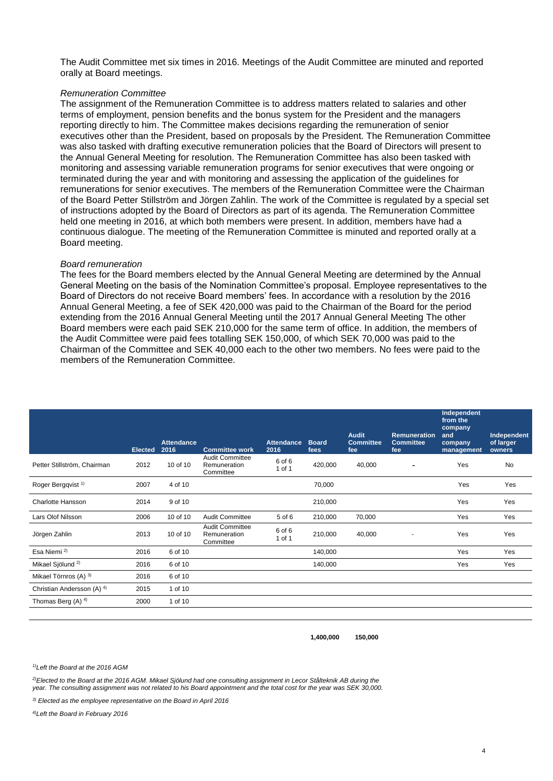The Audit Committee met six times in 2016. Meetings of the Audit Committee are minuted and reported orally at Board meetings.

#### *Remuneration Committee*

The assignment of the Remuneration Committee is to address matters related to salaries and other terms of employment, pension benefits and the bonus system for the President and the managers reporting directly to him. The Committee makes decisions regarding the remuneration of senior executives other than the President, based on proposals by the President. The Remuneration Committee was also tasked with drafting executive remuneration policies that the Board of Directors will present to the Annual General Meeting for resolution. The Remuneration Committee has also been tasked with monitoring and assessing variable remuneration programs for senior executives that were ongoing or terminated during the year and with monitoring and assessing the application of the guidelines for remunerations for senior executives. The members of the Remuneration Committee were the Chairman of the Board Petter Stillström and Jörgen Zahlin. The work of the Committee is regulated by a special set of instructions adopted by the Board of Directors as part of its agenda. The Remuneration Committee held one meeting in 2016, at which both members were present. In addition, members have had a continuous dialogue. The meeting of the Remuneration Committee is minuted and reported orally at a Board meeting.

#### *Board remuneration*

The fees for the Board members elected by the Annual General Meeting are determined by the Annual General Meeting on the basis of the Nomination Committee's proposal. Employee representatives to the Board of Directors do not receive Board members' fees. In accordance with a resolution by the 2016 Annual General Meeting, a fee of SEK 420,000 was paid to the Chairman of the Board for the period extending from the 2016 Annual General Meeting until the 2017 Annual General Meeting The other Board members were each paid SEK 210,000 for the same term of office. In addition, the members of the Audit Committee were paid fees totalling SEK 150,000, of which SEK 70,000 was paid to the Chairman of the Committee and SEK 40,000 each to the other two members. No fees were paid to the members of the Remuneration Committee.

|                                       |                |                           |                                                     |                           |                      |                                         |                                         | Independent<br>from the<br>company |                                    |
|---------------------------------------|----------------|---------------------------|-----------------------------------------------------|---------------------------|----------------------|-----------------------------------------|-----------------------------------------|------------------------------------|------------------------------------|
|                                       | <b>Elected</b> | <b>Attendance</b><br>2016 | <b>Committee work</b>                               | <b>Attendance</b><br>2016 | <b>Board</b><br>fees | <b>Audit</b><br><b>Committee</b><br>fee | Remuneration<br><b>Committee</b><br>fee | and<br>company<br>management       | Independent<br>of larger<br>owners |
| Petter Stillström, Chairman           | 2012           | 10 of 10                  | Audit Committee<br>Remuneration<br>Committee        | 6 of 6<br>1 of 1          | 420,000              | 40,000                                  |                                         | Yes                                | No                                 |
| Roger Bergqvist <sup>1)</sup>         | 2007           | 4 of 10                   |                                                     |                           | 70,000               |                                         |                                         | Yes                                | Yes                                |
| <b>Charlotte Hansson</b>              | 2014           | 9 of 10                   |                                                     |                           | 210,000              |                                         |                                         | Yes                                | Yes                                |
| Lars Olof Nilsson                     | 2006           | 10 of 10                  | <b>Audit Committee</b>                              | 5 of 6                    | 210,000              | 70,000                                  |                                         | Yes                                | Yes                                |
| Jörgen Zahlin                         | 2013           | 10 of 10                  | <b>Audit Committee</b><br>Remuneration<br>Committee | 6 of 6<br>1 of 1          | 210,000              | 40,000                                  | ٠                                       | Yes                                | Yes                                |
| Esa Niemi <sup>2)</sup>               | 2016           | 6 of 10                   |                                                     |                           | 140,000              |                                         |                                         | Yes                                | Yes                                |
| Mikael Sjölund <sup>2)</sup>          | 2016           | 6 of 10                   |                                                     |                           | 140,000              |                                         |                                         | Yes                                | Yes                                |
| Mikael Törnros (A) 3)                 | 2016           | 6 of 10                   |                                                     |                           |                      |                                         |                                         |                                    |                                    |
| Christian Andersson (A) <sup>4)</sup> | 2015           | 1 of 10                   |                                                     |                           |                      |                                         |                                         |                                    |                                    |
| Thomas Berg (A) $4$ )                 | 2000           | 1 of 10                   |                                                     |                           |                      |                                         |                                         |                                    |                                    |

**1,400,000 150,000**

*1)Left the Board at the 2016 AGM*

*2)Elected to the Board at the 2016 AGM. Mikael Sjölund had one consulting assignment in Lecor Stålteknik AB during the year. The consulting assignment was not related to his Board appointment and the total cost for the year was SEK 30,000.*

*3) Elected as the employee representative on the Board in April 2016*

*4)Left the Board in February 2016*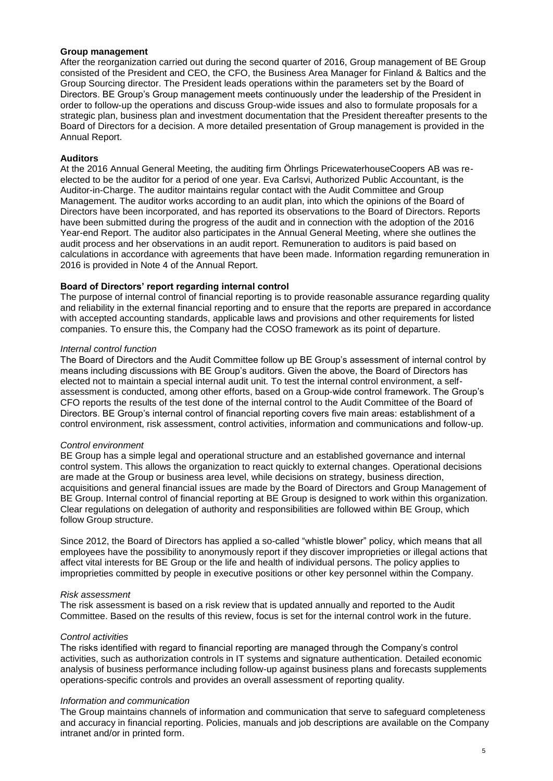## **Group management**

After the reorganization carried out during the second quarter of 2016, Group management of BE Group consisted of the President and CEO, the CFO, the Business Area Manager for Finland & Baltics and the Group Sourcing director. The President leads operations within the parameters set by the Board of Directors. BE Group's Group management meets continuously under the leadership of the President in order to follow-up the operations and discuss Group-wide issues and also to formulate proposals for a strategic plan, business plan and investment documentation that the President thereafter presents to the Board of Directors for a decision. A more detailed presentation of Group management is provided in the Annual Report.

## **Auditors**

At the 2016 Annual General Meeting, the auditing firm Öhrlings PricewaterhouseCoopers AB was reelected to be the auditor for a period of one year. Eva Carlsvi, Authorized Public Accountant, is the Auditor-in-Charge. The auditor maintains regular contact with the Audit Committee and Group Management. The auditor works according to an audit plan, into which the opinions of the Board of Directors have been incorporated, and has reported its observations to the Board of Directors. Reports have been submitted during the progress of the audit and in connection with the adoption of the 2016 Year-end Report. The auditor also participates in the Annual General Meeting, where she outlines the audit process and her observations in an audit report. Remuneration to auditors is paid based on calculations in accordance with agreements that have been made. Information regarding remuneration in 2016 is provided in Note 4 of the Annual Report.

# **Board of Directors' report regarding internal control**

The purpose of internal control of financial reporting is to provide reasonable assurance regarding quality and reliability in the external financial reporting and to ensure that the reports are prepared in accordance with accepted accounting standards, applicable laws and provisions and other requirements for listed companies. To ensure this, the Company had the COSO framework as its point of departure.

## *Internal control function*

The Board of Directors and the Audit Committee follow up BE Group's assessment of internal control by means including discussions with BE Group's auditors. Given the above, the Board of Directors has elected not to maintain a special internal audit unit. To test the internal control environment, a selfassessment is conducted, among other efforts, based on a Group-wide control framework. The Group's CFO reports the results of the test done of the internal control to the Audit Committee of the Board of Directors. BE Group's internal control of financial reporting covers five main areas: establishment of a control environment, risk assessment, control activities, information and communications and follow-up.

## *Control environment*

BE Group has a simple legal and operational structure and an established governance and internal control system. This allows the organization to react quickly to external changes. Operational decisions are made at the Group or business area level, while decisions on strategy, business direction, acquisitions and general financial issues are made by the Board of Directors and Group Management of BE Group. Internal control of financial reporting at BE Group is designed to work within this organization. Clear regulations on delegation of authority and responsibilities are followed within BE Group, which follow Group structure.

Since 2012, the Board of Directors has applied a so-called "whistle blower" policy, which means that all employees have the possibility to anonymously report if they discover improprieties or illegal actions that affect vital interests for BE Group or the life and health of individual persons. The policy applies to improprieties committed by people in executive positions or other key personnel within the Company.

## *Risk assessment*

The risk assessment is based on a risk review that is updated annually and reported to the Audit Committee. Based on the results of this review, focus is set for the internal control work in the future.

# *Control activities*

The risks identified with regard to financial reporting are managed through the Company's control activities, such as authorization controls in IT systems and signature authentication. Detailed economic analysis of business performance including follow-up against business plans and forecasts supplements operations-specific controls and provides an overall assessment of reporting quality.

## *Information and communication*

The Group maintains channels of information and communication that serve to safeguard completeness and accuracy in financial reporting. Policies, manuals and job descriptions are available on the Company intranet and/or in printed form.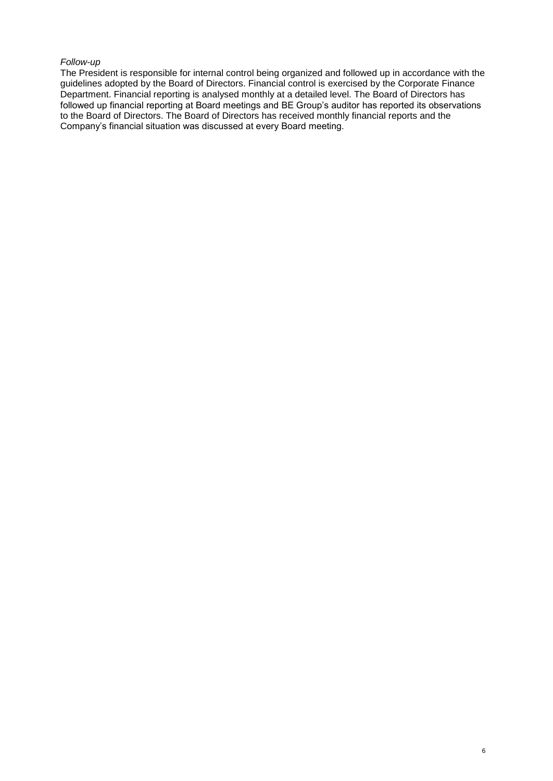## *Follow-up*

The President is responsible for internal control being organized and followed up in accordance with the guidelines adopted by the Board of Directors. Financial control is exercised by the Corporate Finance Department. Financial reporting is analysed monthly at a detailed level. The Board of Directors has followed up financial reporting at Board meetings and BE Group's auditor has reported its observations to the Board of Directors. The Board of Directors has received monthly financial reports and the Company's financial situation was discussed at every Board meeting.